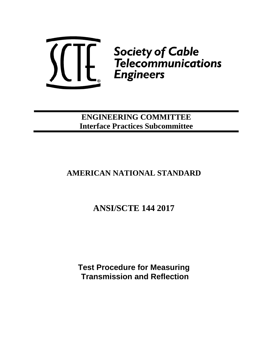

**ENGINEERING COMMITTEE Interface Practices Subcommittee**

# **AMERICAN NATIONAL STANDARD**

# **ANSI/SCTE 144 2017**

**Test Procedure for Measuring Transmission and Reflection**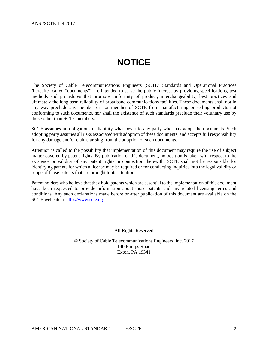# **NOTICE**

<span id="page-1-0"></span>The Society of Cable Telecommunications Engineers (SCTE) Standards and Operational Practices (hereafter called "documents") are intended to serve the public interest by providing specifications, test methods and procedures that promote uniformity of product, interchangeability, best practices and ultimately the long term reliability of broadband communications facilities. These documents shall not in any way preclude any member or non-member of SCTE from manufacturing or selling products not conforming to such documents, nor shall the existence of such standards preclude their voluntary use by those other than SCTE members.

SCTE assumes no obligations or liability whatsoever to any party who may adopt the documents. Such adopting party assumes all risks associated with adoption of these documents, and accepts full responsibility for any damage and/or claims arising from the adoption of such documents.

Attention is called to the possibility that implementation of this document may require the use of subject matter covered by patent rights. By publication of this document, no position is taken with respect to the existence or validity of any patent rights in connection therewith. SCTE shall not be responsible for identifying patents for which a license may be required or for conducting inquiries into the legal validity or scope of those patents that are brought to its attention.

Patent holders who believe that they hold patents which are essential to the implementation of this document have been requested to provide information about those patents and any related licensing terms and conditions. Any such declarations made before or after publication of this document are available on the SCTE web site at [http://www.scte.org.](http://www.scte.org/)

All Rights Reserved

© Society of Cable Telecommunications Engineers, Inc. 2017 140 Philips Road Exton, PA 19341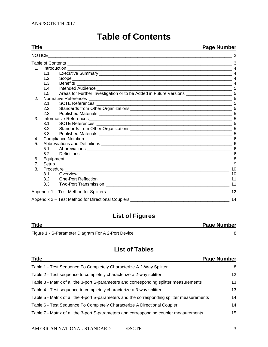<span id="page-2-0"></span>

| Title          |               |                                                                                                                            | <b>Page Number</b> |
|----------------|---------------|----------------------------------------------------------------------------------------------------------------------------|--------------------|
|                | <b>NOTICE</b> |                                                                                                                            |                    |
|                |               |                                                                                                                            |                    |
| 1 <sup>1</sup> |               |                                                                                                                            |                    |
|                | 1.1.          |                                                                                                                            |                    |
|                | 1.2.          |                                                                                                                            |                    |
|                | 1.3.          |                                                                                                                            | 4                  |
|                | 1.4.          |                                                                                                                            |                    |
|                | 1.5.          | Areas for Further Investigation or to be Added in Future Versions [1986] [1986] [1986] [1986] [1986] [1986] [1             |                    |
| 2 <sub>1</sub> |               |                                                                                                                            |                    |
|                | 2.1           |                                                                                                                            |                    |
|                | 2.2.          |                                                                                                                            |                    |
|                | 2.3.          |                                                                                                                            |                    |
| 3.             |               | 5                                                                                                                          |                    |
|                | $3.1 -$       |                                                                                                                            |                    |
|                |               |                                                                                                                            |                    |
|                | 3.3.          |                                                                                                                            |                    |
| 4.             |               |                                                                                                                            |                    |
| 5.             |               |                                                                                                                            | 6                  |
|                | 5.1           |                                                                                                                            |                    |
|                |               | 5.2. Definitions 6                                                                                                         |                    |
| 6.             |               |                                                                                                                            |                    |
| 7 <sub>1</sub> |               |                                                                                                                            |                    |
| 8.             |               |                                                                                                                            |                    |
|                | 8.1           |                                                                                                                            |                    |
|                |               |                                                                                                                            | 11                 |
|                | 8.3.          |                                                                                                                            |                    |
|                |               | Appendix 1 – Test Method for Splitters <b>Constantine Construction Construction</b> Construction Construction Construction | 12                 |
|                |               | Appendix 2 - Test Method for Directional Couplers ______________________________                                           | 14                 |

# **Table of Contents**

## **List of Figures**

| Title                                              | <b>Page Number</b> |
|----------------------------------------------------|--------------------|
| Figure 1 - S-Parameter Diagram For A 2-Port Device |                    |

### **List of Tables**

| <b>Title</b>                                                                                | <b>Page Number</b> |
|---------------------------------------------------------------------------------------------|--------------------|
| Table 1 - Test Sequence To Completely Characterize A 2-Way Splitter                         | 8                  |
| Table 2 - Test sequence to completely characterize a 2-way splitter                         | 12                 |
| Table 3 - Matrix of all the 3-port S-parameters and corresponding splitter measurements     | 13                 |
| Table 4 - Test sequence to completely characterize a 3-way splitter                         | 13                 |
| Table 5 - Matrix of all the 4-port S-parameters and the corresponding splitter measurements | 14                 |
| Table 6 - Test Sequence To Completely Characterize A Directional Coupler                    | 14                 |
| Table 7 - Matrix of all the 3-port S-parameters and corresponding coupler measurements      | 15                 |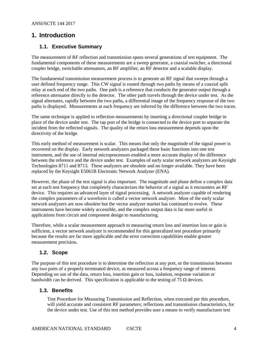### <span id="page-3-1"></span><span id="page-3-0"></span>**1. Introduction**

#### **1.1. Executive Summary**

The measurement of RF reflection and transmission spans several generations of test equipment. The fundamental components of these measurements are a sweep generator, a coaxial switcher, a directional coupler bridge, switchable attenuators, an RF amplifier, an RF detector and a scalable display.

The fundamental transmission measurement process is to generate an RF signal that sweeps through a user defined frequency range. This CW signal is routed through two paths by means of a coaxial split relay at each end of the two paths. One path is a reference that conducts the generator output through a reference attenuator directly to the detector. The other path travels through the device under test. As the signal alternates, rapidly between the two paths, a differential image of the frequency response of the two paths is displayed. Measurements at each frequency are inferred by the difference between the two traces.

The same technique is applied to reflection measurements by inserting a directional coupler bridge in place of the device under test. The tap port of the bridge is connected to the device port to separate the incident from the reflected signals. The quality of the return loss measurement depends upon the directivity of the bridge.

This early method of measurement is scalar. This means that only the magnitude of the signal power is recovered on the display. Early network analyzers packaged these basic functions into one test instrument, and the use of internal microprocessors enabled a more accurate display of the difference between the reference and the device under test. Examples of early scalar network analyzers are Keysight Technologies 8711 and 8713. These analyzers are obsolete and no longer available. They have been replaced by the Keysight E5061B Electronic Network Analyzer (ENA).

However, the phase of the test signal is also important. The magnitude and phase define a complex data set at each test frequency that completely characterizes the behavior of a signal as it encounters an RF device. This requires an advanced layer of signal processing. A network analyzer capable of rendering the complex parameters of a waveform is called a vector network analyzer. Most of the early scalar network analyzers are now obsolete but the vector analyzer market has continued to evolve. These instruments have become widely accessible, and the complex output data is far more useful in applications from circuit and component design to manufacturing.

Therefore, while a scalar measurement approach to measuring return loss and insertion loss or gain is sufficient, a vector network analyzer is recommended for this generalized test procedure primarily because the results are far more applicable and the error correction capabilities enable greater measurement precision**.**

#### <span id="page-3-2"></span>**1.2. Scope**

The purpose of this test procedure is to determine the reflection at any port, or the transmission between any two ports of a properly terminated device, as measured across a frequency range of interest. Depending on use of the data, return loss, insertion gain or loss, isolation, response variation or bandwidth can be derived. This specification is applicable to the testing of 75  $\Omega$  devices.

#### <span id="page-3-3"></span>**1.3. Benefits**

Test Procedure for Measuring Transmission and Reflection, when executed per this procedure, will yield accurate and consistent RF parameters; reflections and transmission characteristics, for the device under test. Use of this test method provides user a means to verify manufacturer test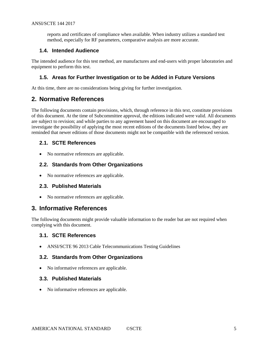reports and certificates of compliance when available. When industry utilizes a standard test method, especially for RF parameters, comparative analysis are more accurate.

#### <span id="page-4-0"></span>**1.4. Intended Audience**

The intended audience for this test method, are manufactures and end-users with proper laboratories and equipment to perform this test.

#### <span id="page-4-1"></span>**1.5. Areas for Further Investigation or to be Added in Future Versions**

<span id="page-4-2"></span>At this time, there are no considerations being giving for further investigation.

#### **2. Normative References**

The following documents contain provisions, which, through reference in this text, constitute provisions of this document. At the time of Subcommittee approval, the editions indicated were valid. All documents are subject to revision; and while parties to any agreement based on this document are encouraged to investigate the possibility of applying the most recent editions of the documents listed below, they are reminded that newer editions of those documents might not be compatible with the referenced version.

#### <span id="page-4-3"></span>**2.1. SCTE References**

<span id="page-4-4"></span>• No normative references are applicable.

#### **2.2. Standards from Other Organizations**

• No normative references are applicable.

#### <span id="page-4-5"></span>**2.3. Published Materials**

• No normative references are applicable.

#### <span id="page-4-6"></span>**3. Informative References**

The following documents might provide valuable information to the reader but are not required when complying with this document.

#### <span id="page-4-7"></span>**3.1. SCTE References**

• ANSI/SCTE 96 2013 Cable Telecommunications Testing Guidelines

#### <span id="page-4-8"></span>**3.2. Standards from Other Organizations**

<span id="page-4-9"></span>• No informative references are applicable.

#### **3.3. Published Materials**

• No informative references are applicable.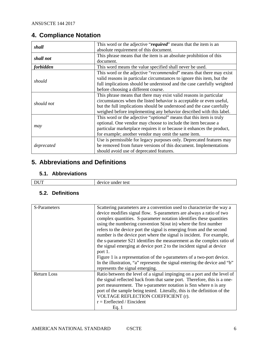### <span id="page-5-0"></span>**4. Compliance Notation**

| shall      | This word or the adjective "required" means that the item is an              |
|------------|------------------------------------------------------------------------------|
|            | absolute requirement of this document.                                       |
| shall not  | This phrase means that the item is an absolute prohibition of this           |
|            | document.                                                                    |
| forbidden  | This word means the value specified shall never be used.                     |
|            | This word or the adjective "recommended" means that there may exist          |
| should     | valid reasons in particular circumstances to ignore this item, but the       |
|            | full implications should be understood and the case carefully weighted       |
|            | before choosing a different course.                                          |
|            | This phrase means that there may exist valid reasons in particular           |
| should not | circumstances when the listed behavior is acceptable or even useful,         |
|            | but the full implications should be understood and the case carefully        |
|            | weighed before implementing any behavior described with this label.          |
|            | This word or the adjective " <i>optional</i> " means that this item is truly |
|            | optional. One vendor may choose to include the item because a                |
| may        | particular marketplace requires it or because it enhances the product,       |
|            | for example; another vendor may omit the same item.                          |
|            | Use is permissible for legacy purposes only. Deprecated features may         |
| deprecated | be removed from future versions of this document. Implementations            |
|            | should avoid use of deprecated features.                                     |

### <span id="page-5-1"></span>**5. Abbreviations and Definitions**

### <span id="page-5-2"></span>**5.1. Abbreviations**

<span id="page-5-3"></span>

DUT device under test

#### **5.2. Definitions**

| S-Parameters       | Scattering parameters are a convention used to characterize the way a      |
|--------------------|----------------------------------------------------------------------------|
|                    |                                                                            |
|                    | device modifies signal flow. S-parameters are always a ratio of two        |
|                    | complex quantities. S-parameter notation identifies these quantities       |
|                    | using the numbering convention S(out in) where the first number            |
|                    | refers to the device port the signal is emerging from and the second       |
|                    | number is the device port where the signal is incident. For example,       |
|                    | the s-parameter S21 identifies the measurement as the complex ratio of     |
|                    | the signal emerging at device port 2 to the incident signal at device      |
|                    | port 1.                                                                    |
|                    | Figure 1 is a representation of the s-parameters of a two-port device.     |
|                    | In the illustration, "a" represents the signal entering the device and "b" |
|                    | represents the signal emerging.                                            |
| <b>Return Loss</b> | Ratio between the level of a signal impinging on a port and the level of   |
|                    | the signal reflected back from that same port. Therefore, this is a one-   |
|                    | port measurement. The s-parameter notation is Snn where n is any           |
|                    | port of the sample being tested. Literally, this is the definition of the  |
|                    | VOLTAGE REFLECTION COEFFICIENT (r).                                        |
|                    | $r = Ereflected / Eincident$                                               |
|                    | Eq. 1                                                                      |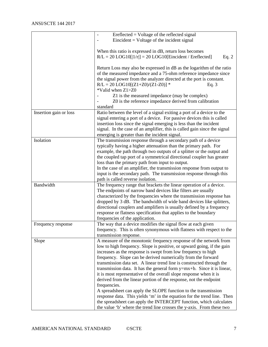|                        | Ereflected = Voltage of the reflected signal                              |  |  |  |  |
|------------------------|---------------------------------------------------------------------------|--|--|--|--|
|                        | $Eincident = Voltage of the incident signal$                              |  |  |  |  |
|                        |                                                                           |  |  |  |  |
|                        | When this ratio is expressed in dB, return loss becomes                   |  |  |  |  |
|                        | $R/L = 20$ LOG10[ 1/r ] = 20 LOG10[Eincident / Ereflected]<br>Eq. $2$     |  |  |  |  |
|                        |                                                                           |  |  |  |  |
|                        | Return Loss may also be expressed in dB as the logarithm of the ratio     |  |  |  |  |
|                        | of the measured impedance and a 75-ohm reference impedance since          |  |  |  |  |
|                        | the signal power from the analyzer directed at the port is constant.      |  |  |  |  |
|                        | $R/L = 20$ LOG10[(Z1+Z0)/(Z1-Z0)] *<br>Eq. $3$                            |  |  |  |  |
|                        | *Valid when Z1>Z0                                                         |  |  |  |  |
|                        |                                                                           |  |  |  |  |
|                        | Z1 is the measured impedance (may be complex)                             |  |  |  |  |
|                        | Z0 is the reference impedance derived from calibration                    |  |  |  |  |
|                        | standard                                                                  |  |  |  |  |
| Insertion gain or loss | Ratio between the level of a signal exiting a port of a device to the     |  |  |  |  |
|                        | signal entering a port of a device. For passive devices this is called    |  |  |  |  |
|                        | insertion loss since the signal emerging is less than the incident        |  |  |  |  |
|                        | signal. In the case of an amplifier, this is called gain since the signal |  |  |  |  |
|                        | emerging is greater than the incident signal.                             |  |  |  |  |
| Isolation              | The transmission response through a secondary path of a device            |  |  |  |  |
|                        | typically having a higher attenuation than the primary path. For          |  |  |  |  |
|                        | example, the path through two outputs of a splitter or the output and     |  |  |  |  |
|                        | the coupled tap port of a symmetrical directional coupler has greater     |  |  |  |  |
|                        | loss than the primary path from input to output.                          |  |  |  |  |
|                        | In the case of an amplifier, the transmission response from output to     |  |  |  |  |
|                        | input is the secondary path. The transmission response through this       |  |  |  |  |
|                        | path is called reverse isolation.                                         |  |  |  |  |
| Bandwidth              | The frequency range that brackets the linear operation of a device.       |  |  |  |  |
|                        | The endpoints of narrow band devices like filters are usually             |  |  |  |  |
|                        | characterized by the frequencies where the transmission response has      |  |  |  |  |
|                        | dropped by 3 dB. The bandwidth of wide band devices like splitters,       |  |  |  |  |
|                        | directional couplers and amplifiers is usually defined by a frequency     |  |  |  |  |
|                        | response or flatness specification that applies to the boundary           |  |  |  |  |
|                        | frequencies of the application.                                           |  |  |  |  |
|                        | The way that a device modifies the signal flow at each given              |  |  |  |  |
| Frequency response     |                                                                           |  |  |  |  |
|                        | frequency. This is often synonymous with flatness with respect to the     |  |  |  |  |
|                        | transmission response.                                                    |  |  |  |  |
| Slope                  | A measure of the monotonic frequency response of the network from         |  |  |  |  |
|                        | low to high frequency. Slope is positive, or upward going, if the gain    |  |  |  |  |
|                        | increases as the response is swept from low frequency to high             |  |  |  |  |
|                        | frequency. Slope can be derived numerically from the forward              |  |  |  |  |
|                        | transmission data set. A linear trend line is constructed through the     |  |  |  |  |
|                        | transmission data. It has the general form y=mx+b. Since it is linear,    |  |  |  |  |
|                        | it is most representative of the overall slope response when it is        |  |  |  |  |
|                        | derived from the linear portion of the response, not the endpoint         |  |  |  |  |
|                        | frequencies.                                                              |  |  |  |  |
|                        | A spreadsheet can apply the SLOPE function to the transmission            |  |  |  |  |
|                        | response data. This yields 'm' in the equation for the trend line. Then   |  |  |  |  |
|                        | the spreadsheet can apply the INTERCEPT function, which calculates        |  |  |  |  |
|                        | the value 'b' where the trend line crosses the y-axis. From these two     |  |  |  |  |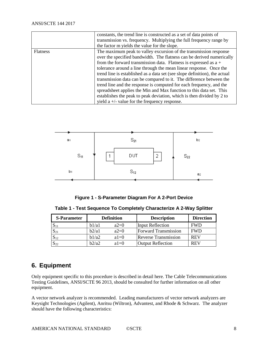|                 | constants, the trend line is constructed as a set of data points of<br>transmission vs. frequency. Multiplying the full frequency range by<br>the factor m yields the value for the slope.                                                                                                                                                                                                                                                                                                                                                                                                                                                                                                                            |  |  |
|-----------------|-----------------------------------------------------------------------------------------------------------------------------------------------------------------------------------------------------------------------------------------------------------------------------------------------------------------------------------------------------------------------------------------------------------------------------------------------------------------------------------------------------------------------------------------------------------------------------------------------------------------------------------------------------------------------------------------------------------------------|--|--|
| <b>Flatness</b> | The maximum peak to valley excursion of the transmission response<br>over the specified bandwidth. The flatness can be derived numerically<br>from the forward transmission data. Flatness is expressed as $a +$<br>tolerance around a line through the mean linear response. Once the<br>trend line is established as a data set (see slope definition), the actual<br>transmission data can be compared to it. The difference between the<br>trend line and the response is computed for each frequency, and the<br>spreadsheet applies the Min and Max function to this data set. This<br>establishes the peak to peak deviation, which is then divided by 2 to<br>yield $a +/-$ value for the frequency response. |  |  |



**Figure 1 - S-Parameter Diagram For A 2-Port Device**

<span id="page-7-1"></span>**Table 1 - Test Sequence To Completely Characterize A 2-Way Splitter**

<span id="page-7-2"></span>

| <b>S-Parameter</b> | <b>Definition</b> |        | <b>Description</b>          | <b>Direction</b> |
|--------------------|-------------------|--------|-----------------------------|------------------|
| $S_{11}$           | b1/a1             | $a2=0$ | <b>Input Reflection</b>     | <b>FWD</b>       |
| $S_{21}$           | b2/a1             | $a2=0$ | <b>Forward Transmission</b> | <b>FWD</b>       |
| $S_{12}$           | b1/a2             | $a1=0$ | <b>Reverse Transmission</b> | <b>REV</b>       |
| $S_{22}$           | b2/a2             | $a1=0$ | <b>Output Reflection</b>    | <b>REV</b>       |

### <span id="page-7-0"></span>**6. Equipment**

Only equipment specific to this procedure is described in detail here. The Cable Telecommunications Testing Guidelines, ANSI/SCTE 96 2013, should be consulted for further information on all other equipment.

A vector network analyzer is recommended. Leading manufacturers of vector network analyzers are Keysight Technologies (Agilent), Anritsu (Wiltron), Advantest, and Rhode & Schwarz. The analyzer should have the following characteristics: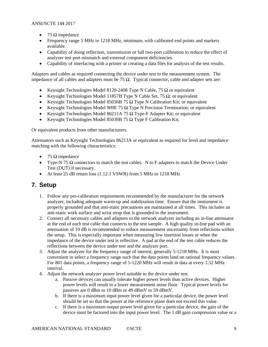- 75  $\Omega$  impedance
- Frequency range 5 MHz to 1218 MHz, minimum, with calibrated end points and markers available.
- Capability of doing reflection, transmission or full two-port calibration to reduce the effect of analyzer test port mismatch and external component deficiencies.
- Capability of interfacing with a printer or creating a data files for analysis of the test results.

Adapters and cables as required connecting the device under test to the measurement system. The impedance of all cables and adapters must be 75  $Ω$ . Typical connector, cable and adapter sets are:

- Keysight Technologies Model 8120-2408 Type N Cable,  $75 \Omega$  or equivalent
- Keysight Technologies Model 11857B Type N Cable Set, 75  $\Omega$ ; or equivalent
- Keysight Technologies Model 85036B 75  $\Omega$  Type N Calibration Kit; or equivalent
- Keysight Technologies Model 909E 75  $\Omega$  Type N Precision Termination; or equivalent
- Keysight Technologies Model 86211A 75  $\Omega$  Type-F Adapter Kit; or equivalent
- Keysight Technologies Model 85039B 75  $\Omega$  Type F Calibration Kit;

Or equivalent products from other manufacturers.

Attenuators such as Keysight Technologies 86213A or equivalent as required for level and impedance matching with the following characteristics:

- 75  $\Omega$  impedance
- Type-N 75  $\Omega$  connectors to match the test cables. N to F adapters to match the Device Under Test (DUT) if necessary.
- At least 25 dB return loss (1.12:1 VSWR) from 5 MHz to 1218 MHz

#### <span id="page-8-0"></span>**7. Setup**

- 1. Follow any pre-calibration requirements recommended by the manufacturer for the network analyzer, including adequate warm-up and stabilization time. Ensure that the instrument is properly grounded and that anti-static precautions are maintained at all times. This includes an anti-static work surface and wrist strap that is grounded to the instrument.
- 2. Connect all necessary cables and adapters to the network analyzer including an in-line attenuator at the end of each test cable that connects to the test sample. A high quality in-line pad with an attenuation of 10 dB is recommended to reduce measurement uncertainty from reflections within the setup. This is especially important when measuring low insertion losses or when the impedance of the device under test is reflective. A pad at the end of the test cable reduces the reflections between the device under test and the analyzer port.
- 3. Adjust the analyzer for the frequency range of interest, generally 5-1218 MHz. It is most convenient to select a frequency range such that the data points land on rational frequency values. For 801 data points, a frequency range of 5-1220 MHz will result in data at every 1.52 MHz interval.
- 4. Adjust the network analyzer power level suitable to the device under test.
	- a. Passive devices can usually tolerate higher power levels than active devices. Higher power levels will result in a lower measurement noise floor. Typical power levels for passives are 0 dBm to 10 dBm or 49 dBmV to 59 dBmV.
	- b. If there is a maximum input power level given for a particular device, the power level should be set so that the power at the reference plane does not exceed this value.
	- c. If there is a maximum output power level given for a particular device, the gain of the device must be factored into the input power level. The 1 dB gain compression value or a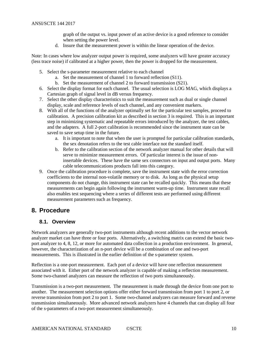graph of the output vs. input power of an active device is a good reference to consider when setting the power level.

d. Insure that the measurement power is within the linear operation of the device.

Note: In cases where low analyzer output power is required, some analyzers will have greater accuracy (less trace noise) if calibrated at a higher power, then the power is dropped for the measurement.

- 5. Select the s-parameter measurement relative to each channel
	- a. Set the measurement of channel 1 to forward reflection (S11).
	- b. Set the measurement of channel 2 to forward transmission (S21).
- 6. Select the display format for each channel. The usual selection is LOG MAG, which displays a Cartesian graph of signal level in dB versus frequency.
- 7. Select the other display characteristics to suit the measurement such as dual or single channel display, scale and reference levels of each channel, and any convenient markers.
- 8. With all of the functions of the analyzer optimally set for the particular test samples, proceed to calibration. A precision calibration kit as described in section 3 is required. This is an important step in minimizing systematic and repeatable errors introduced by the analyzer, the test cables, and the adapters. A full 2-port calibration is recommended since the instrument state can be saved to save setup time in the future.
	- a. It is important to note that when the user is prompted for particular calibration standards, the sex denotation refers to the test cable interface not the standard itself.
	- b. Refer to the calibration section of the network analyzer manual for other details that will serve to minimize measurement errors. Of particular interest is the issue of noninsertable devices. These have the same sex connectors on input and output ports. Many cable telecommunications products fall into this category.
- 9. Once the calibration procedure is complete, save the instrument state with the error correction coefficients to the internal non-volatile memory or to disk. As long as the physical setup components do not change, this instrument state can be recalled quickly. This means that these measurements can begin again following the instrument warm-up time. Instrument state recall also enables test sequencing where a series of different tests are performed using different measurement parameters such as frequency.

#### <span id="page-9-1"></span><span id="page-9-0"></span>**8. Procedure**

#### **8.1. Overview**

Network analyzers are generally two-port instruments although recent additions to the vector network analyzer market can have three or four ports. Alternatively, a switching matrix can extend the basic twoport analyzer to 4, 8, 12, or more for automated data collection in a production environment. In general, however, the characterization of an n-port device will be a combination of one and two-port measurements. This is illustrated in the earlier definition of the s-parameter system.

Reflection is a one-port measurement. Each port of a device will have one reflection measurement associated with it. Either port of the network analyzer is capable of making a reflection measurement. Some two-channel analyzers can measure the reflection of two ports simultaneously.

Transmission is a two-port measurement. The measurement is made through the device from one port to another. The measurement selection options offer either forward transmission from port 1 to port 2, or reverse transmission from port 2 to port 1. Some two-channel analyzers can measure forward and reverse transmission simultaneously. More advanced network analyzers have 4 channels that can display all four of the s-parameters of a two-port measurement simultaneously.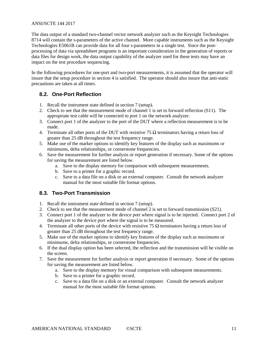#### ANSI/SCTE 144 2017

The data output of a standard two-channel vector network analyzer such as the Keysight Technologies 8714 will contain the s-parameters of the active channel. More capable instruments such as the Keysight Technologies E5061B can provide data for all four s-parameters in a single test. Since the postprocessing of data via spreadsheet programs is an important consideration in the generation of reports or data files for design work, the data output capability of the analyzer used for these tests may have an impact on the test procedure sequencing.

In the following procedures for one-port and two-port measurements, it is assumed that the operator will insure that the setup procedure in section 4 is satisfied. The operator should also insure that anti-static precautions are taken at all times.

#### <span id="page-10-0"></span>**8.2. One-Port Reflection**

- 1. Recall the instrument state defined in section [7](#page-8-0) (setup).
- 2. Check to see that the measurement mode of channel 1 is set to forward reflection (S11). The appropriate test cable will be connected to port 1 on the network analyzer.
- 3. Connect port 1 of the analyzer to the port of the DUT where a reflection measurement is to be made.
- 4. Terminate all other ports of the DUT with resistive 75  $\Omega$  terminators having a return loss of greater than 25 dB throughout the test frequency range.
- 5. Make use of the marker options to identify key features of the display such as maximums or minimums, delta relationships, or cornerstone frequencies.
- 6. Save the measurement for further analysis or report generation if necessary. Some of the options for saving the measurement are listed below.
	- a. Save to the display memory for comparison with subsequent measurements.
	- b. Save to a printer for a graphic record.
	- c. Save to a data file on a disk or an external computer. Consult the network analyzer manual for the most suitable file format options.

#### <span id="page-10-1"></span>**8.3. Two-Port Transmission**

- 1. Recall the instrument state defined in sectio[n 7](#page-8-0) (setup).
- 2. Check to see that the measurement mode of channel 2 is set to forward transmission (S21).
- 3. Connect port 1 of the analyzer to the device port where signal is to be injected. Connect port 2 of the analyzer to the device port where the signal is to be measured.
- 4. Terminate all other ports of the device with resistive 75  $\Omega$  terminators having a return loss of greater than 25 dB throughout the test frequency range.
- 5. Make use of the marker options to identify key features of the display such as maximums or minimums, delta relationships, or cornerstone frequencies.
- 6. If the dual display option has been selected, the reflection and the transmission will be visible on the screen.
- 7. Save the measurement for further analysis or report generation if necessary. Some of the options for saving the measurement are listed below.
	- a. Save to the display memory for visual comparison with subsequent measurements.
	- b. Save to a printer for a graphic record.
	- c. Save to a data file on a disk or an external computer. Consult the network analyzer manual for the most suitable file format options.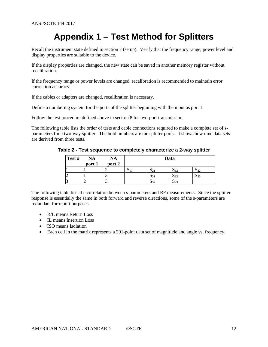# **Appendix 1 – Test Method for Splitters**

<span id="page-11-0"></span>Recall the instrument state defined in sectio[n 7](#page-8-0) (setup). Verify that the frequency range, power level and display properties are suitable to the device.

If the display properties are changed, the new state can be saved in another memory register without recalibration.

If the frequency range or power levels are changed, recalibration is recommended to maintain error correction accuracy.

If the cables or adapters are changed, recalibration is necessary.

Define a numbering system for the ports of the splitter beginning with the input as port 1.

Follow the test procedure defined above in section [8](#page-9-0) for two-port transmission.

<span id="page-11-1"></span>The following table lists the order of tests and cable connections required to make a complete set of sparameters for a two-way splitter. The bold numbers are the splitter ports. It shows how nine data sets are derived from three tests.

**Table 2 - Test sequence to completely characterize a 2-way splitter**

| Test# | NA<br>port 1 | NA<br>port 2 | Data |     |                   |                |
|-------|--------------|--------------|------|-----|-------------------|----------------|
|       |              |              | υĦ   | 521 | $\mathbf{D}12$    | $\mathbf{D}22$ |
|       |              |              |      | 531 | $\mathbf{D}$ 13   | $\mathbf{D}33$ |
|       |              |              |      | 32  | $\mathbf{D}_{23}$ |                |

The following table lists the correlation between s-parameters and RF measurements. Since the splitter response is essentially the same in both forward and reverse directions, some of the s-parameters are redundant for report purposes.

- R/L means Return Loss
- IL means Insertion Loss
- ISO means Isolation
- Each cell in the matrix represents a 201-point data set of magnitude and angle vs. frequency.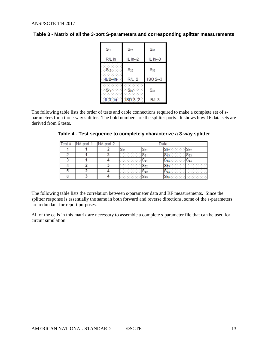| $S_{11}$      | $S_{21}$          | $S_{31}$            |
|---------------|-------------------|---------------------|
| R/L in        | ILin-2            | IL in $-3$          |
| IL2–in        | $S_{22}$<br>R/L 2 | $S_{32}$<br>ISO 2-3 |
| $S_{13}$      |                   |                     |
| $11 - 3 - 11$ | $1803 - 2$        | S33<br>R/L3         |

#### <span id="page-12-0"></span>**Table 3 - Matrix of all the 3-port S-parameters and corresponding splitter measurements**

<span id="page-12-1"></span>The following table lists the order of tests and cable connections required to make a complete set of sparameters for a three-way splitter. The bold numbers are the splitter ports. It shows how 16 data sets are derived from 6 tests.

| Test # | NA port 1 | NA port 2 | Data |  |  |  |
|--------|-----------|-----------|------|--|--|--|
|        |           |           |      |  |  |  |
|        |           |           |      |  |  |  |
|        |           |           |      |  |  |  |
|        |           |           |      |  |  |  |
| m      |           |           |      |  |  |  |
| e      |           |           |      |  |  |  |

**Table 4 - Test sequence to completely characterize a 3-way splitter**

The following table lists the correlation between s-parameter data and RF measurements. Since the splitter response is essentially the same in both forward and reverse directions, some of the s-parameters are redundant for report purposes.

All of the cells in this matrix are necessary to assemble a complete s-parameter file that can be used for circuit simulation.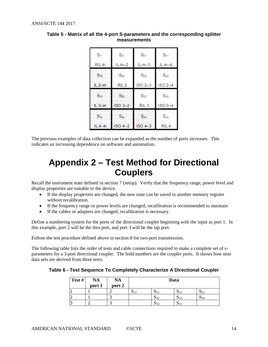| $S_{11}$  | $S_{21}$            | $S_{31}$ | $S_{41}$ |
|-----------|---------------------|----------|----------|
| R/L in    | ILin-2              | ILin-3   | IL in-4  |
| $\equiv$  | $S_{22}$            | $S_{32}$ | $S_{42}$ |
| $IL 2-in$ | R/L 2               | ISO 2-3  | ISO 2-4  |
|           |                     | $S_{33}$ | $S_{43}$ |
|           | $IL 3-in$ $ISO 3-2$ | R/L 3    | ISO 3-4  |
|           |                     |          | $S_{44}$ |
|           | ISO 4-2             | $ISO-3.$ | R/L4     |

#### <span id="page-13-1"></span>**Table 5 - Matrix of all the 4-port S-parameters and the corresponding splitter measurements**

<span id="page-13-0"></span>The previous examples of data collection can be expanded as the number of ports increases. This indicates an increasing dependence on software and automation.

# **Appendix 2 – Test Method for Directional Couplers**

Recall the instrument state defined in sectio[n 7](#page-8-0) (setup). Verify that the frequency range, power level and display properties are suitable to the device.

- If the display properties are changed, the new state can be saved in another memory register without recalibration.
- If the frequency range or power levels are changed, recalibration is recommended to maintain
- If the cables or adapters are changed, recalibration is necessary.

Define a numbering system for the ports of the directional coupler beginning with the input as port 1. In this example, port 2 will be the thru port, and port 3 will be the tap port.

Follow the test procedure defined above in section [8](#page-9-0) for two-port transmission.

<span id="page-13-2"></span>The following table lists the order of tests and cable connections required to make a complete set of sparameters for a 3-port directional coupler. The bold numbers are the coupler ports. It shows how nine data sets are derived from three tests.

**Table 6 - Test Sequence To Completely Characterize A Directional Coupler**

| Test # | NA<br>port 1 | NA<br>port 2 | Data |                |                   |             |
|--------|--------------|--------------|------|----------------|-------------------|-------------|
|        |              |              | 011  | $\mathbf{v}_2$ | $\mathbf{5}_{12}$ | 522         |
|        |              |              |      | $\mathbf{u}$   | $\mathbf{D}$ 13   | <b>D</b> 33 |
|        |              |              |      | $\mathbf{D}32$ | $\mathbf{D}23$    |             |